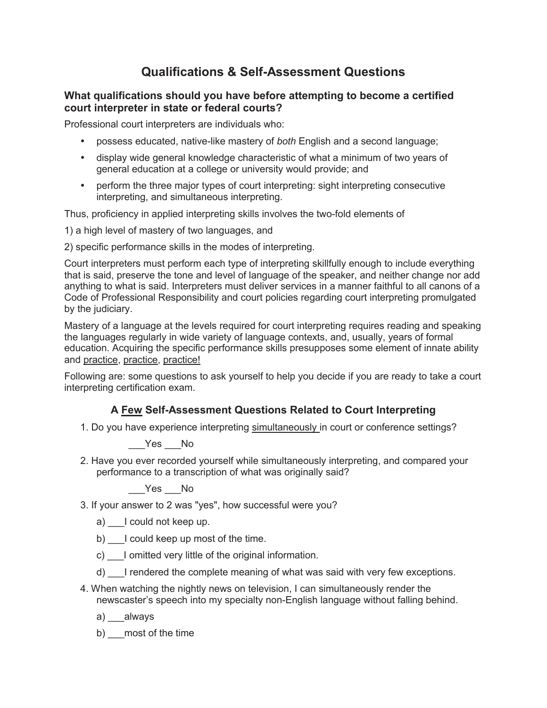## **Qualifications & Self-Assessment Questions**

## **What qualifications should you have before attempting to become a certified court interpreter in state or federal courts?**

Professional court interpreters are individuals who:

- possess educated, native-like mastery of *both* English and a second language;
- display wide general knowledge characteristic of what a minimum of two years of general education at a college or university would provide; and
- perform the three major types of court interpreting: sight interpreting consecutive interpreting, and simultaneous interpreting.

Thus, proficiency in applied interpreting skills involves the two-fold elements of

1) a high level of mastery of two languages, and

2) specific performance skills in the modes of interpreting.

Court interpreters must perform each type of interpreting skillfully enough to include everything that is said, preserve the tone and level of language of the speaker, and neither change nor add anything to what is said. Interpreters must deliver services in a manner faithful to all canons of a Code of Professional Responsibility and court policies regarding court interpreting promulgated by the judiciary.

Mastery of a language at the levels required for court interpreting requires reading and speaking the languages regularly in wide variety of language contexts, and, usually, years of formal education. Acquiring the specific performance skills presupposes some element of innate ability and practice, practice, practice!

Following are: some questions to ask yourself to help you decide if you are ready to take a court interpreting certification exam.

## **A Few Self-Assessment Questions Related to Court Interpreting**

1. Do you have experience interpreting simultaneously in court or conference settings?

Yes No

2. Have you ever recorded yourself while simultaneously interpreting, and compared your performance to a transcription of what was originally said?

Yes No

3. If your answer to 2 was "yes", how successful were you?

- a) l could not keep up.
- b) I could keep up most of the time.
- c) I omitted very little of the original information.
- d) \_\_\_I rendered the complete meaning of what was said with very few exceptions.
- 4. When watching the nightly news on television, I can simultaneously render the newscaster's speech into my specialty non-English language without falling behind.
	- a) \_\_\_always
	- b) most of the time